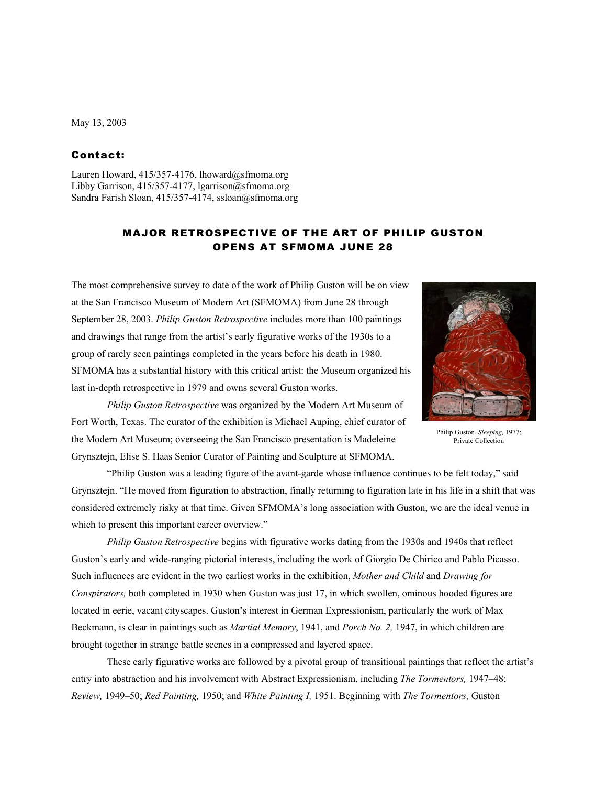### May 13, 2003

## Contact:

Lauren Howard, 415/357-4176, lhoward@sfmoma.org Libby Garrison, 415/357-4177, lgarrison@sfmoma.org Sandra Farish Sloan, 415/357-4174, ssloan@sfmoma.org

# MAJOR RETROSPECTIVE OF THE ART OF PHILIP GUSTON OPENS AT SFMOMA JUNE 28

The most comprehensive survey to date of the work of Philip Guston will be on view at the San Francisco Museum of Modern Art (SFMOMA) from June 28 through September 28, 2003. *Philip Guston Retrospective* includes more than 100 paintings and drawings that range from the artist's early figurative works of the 1930s to a group of rarely seen paintings completed in the years before his death in 1980. SFMOMA has a substantial history with this critical artist: the Museum organized his last in-depth retrospective in 1979 and owns several Guston works.



Philip Guston, *Sleeping,* 1977; Private Collection

*Philip Guston Retrospective* was organized by the Modern Art Museum of Fort Worth, Texas. The curator of the exhibition is Michael Auping, chief curator of the Modern Art Museum; overseeing the San Francisco presentation is Madeleine Grynsztejn, Elise S. Haas Senior Curator of Painting and Sculpture at SFMOMA.

"Philip Guston was a leading figure of the avant-garde whose influence continues to be felt today," said Grynsztejn. "He moved from figuration to abstraction, finally returning to figuration late in his life in a shift that was considered extremely risky at that time. Given SFMOMA's long association with Guston, we are the ideal venue in which to present this important career overview."

*Philip Guston Retrospective* begins with figurative works dating from the 1930s and 1940s that reflect Guston's early and wide-ranging pictorial interests, including the work of Giorgio De Chirico and Pablo Picasso. Such influences are evident in the two earliest works in the exhibition, *Mother and Child* and *Drawing for Conspirators,* both completed in 1930 when Guston was just 17, in which swollen, ominous hooded figures are located in eerie, vacant cityscapes. Guston's interest in German Expressionism, particularly the work of Max Beckmann, is clear in paintings such as *Martial Memory*, 1941, and *Porch No. 2,* 1947, in which children are brought together in strange battle scenes in a compressed and layered space.

These early figurative works are followed by a pivotal group of transitional paintings that reflect the artist's entry into abstraction and his involvement with Abstract Expressionism, including *The Tormentors,* 1947–48; *Review,* 1949–50; *Red Painting,* 1950; and *White Painting I,* 1951. Beginning with *The Tormentors,* Guston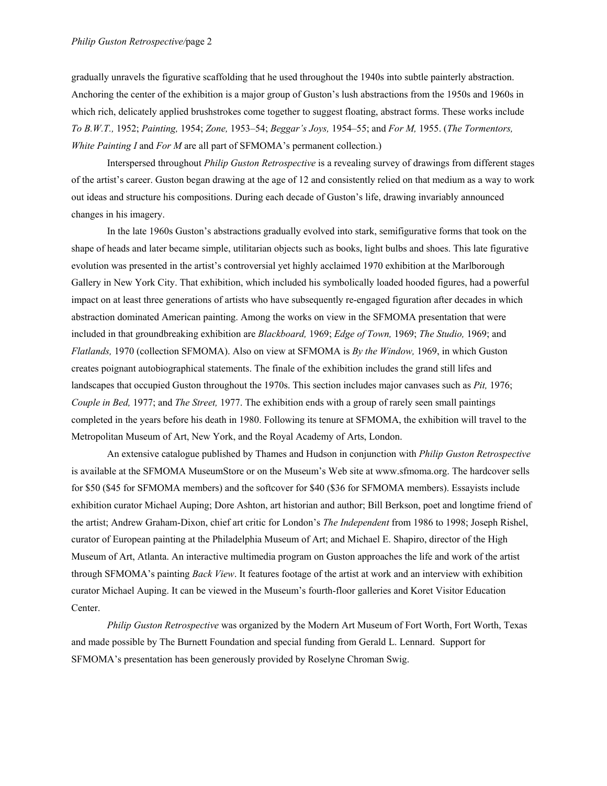gradually unravels the figurative scaffolding that he used throughout the 1940s into subtle painterly abstraction. Anchoring the center of the exhibition is a major group of Guston's lush abstractions from the 1950s and 1960s in which rich, delicately applied brushstrokes come together to suggest floating, abstract forms. These works include *To B.W.T.,* 1952; *Painting,* 1954; *Zone,* 1953–54; *Beggar's Joys,* 1954–55; and *For M,* 1955. (*The Tormentors, White Painting I* and *For M* are all part of SFMOMA's permanent collection.)

Interspersed throughout *Philip Guston Retrospective* is a revealing survey of drawings from different stages of the artist's career. Guston began drawing at the age of 12 and consistently relied on that medium as a way to work out ideas and structure his compositions. During each decade of Guston's life, drawing invariably announced changes in his imagery.

In the late 1960s Guston's abstractions gradually evolved into stark, semifigurative forms that took on the shape of heads and later became simple, utilitarian objects such as books, light bulbs and shoes. This late figurative evolution was presented in the artist's controversial yet highly acclaimed 1970 exhibition at the Marlborough Gallery in New York City. That exhibition, which included his symbolically loaded hooded figures, had a powerful impact on at least three generations of artists who have subsequently re-engaged figuration after decades in which abstraction dominated American painting. Among the works on view in the SFMOMA presentation that were included in that groundbreaking exhibition are *Blackboard,* 1969; *Edge of Town,* 1969; *The Studio,* 1969; and *Flatlands,* 1970 (collection SFMOMA). Also on view at SFMOMA is *By the Window,* 1969, in which Guston creates poignant autobiographical statements. The finale of the exhibition includes the grand still lifes and landscapes that occupied Guston throughout the 1970s. This section includes major canvases such as *Pit,* 1976; *Couple in Bed,* 1977; and *The Street,* 1977. The exhibition ends with a group of rarely seen small paintings completed in the years before his death in 1980. Following its tenure at SFMOMA, the exhibition will travel to the Metropolitan Museum of Art, New York, and the Royal Academy of Arts, London.

An extensive catalogue published by Thames and Hudson in conjunction with *Philip Guston Retrospective* is available at the SFMOMA MuseumStore or on the Museum's Web site at www.sfmoma.org. The hardcover sells for \$50 (\$45 for SFMOMA members) and the softcover for \$40 (\$36 for SFMOMA members). Essayists include exhibition curator Michael Auping; Dore Ashton, art historian and author; Bill Berkson, poet and longtime friend of the artist; Andrew Graham-Dixon, chief art critic for London's *The Independent* from 1986 to 1998; Joseph Rishel, curator of European painting at the Philadelphia Museum of Art; and Michael E. Shapiro, director of the High Museum of Art, Atlanta. An interactive multimedia program on Guston approaches the life and work of the artist through SFMOMA's painting *Back View*. It features footage of the artist at work and an interview with exhibition curator Michael Auping. It can be viewed in the Museum's fourth-floor galleries and Koret Visitor Education Center.

*Philip Guston Retrospective* was organized by the Modern Art Museum of Fort Worth, Fort Worth, Texas and made possible by The Burnett Foundation and special funding from Gerald L. Lennard. Support for SFMOMA's presentation has been generously provided by Roselyne Chroman Swig.